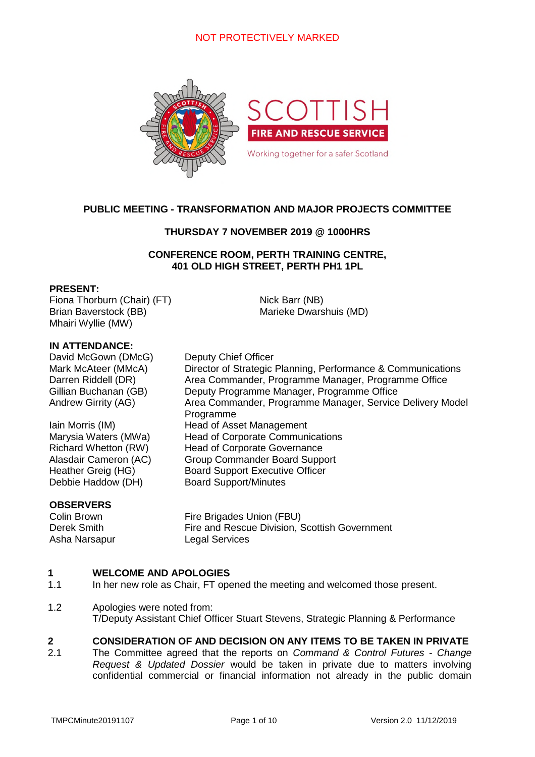# NOT PROTECTIVELY MARKED



# **PUBLIC MEETING - TRANSFORMATION AND MAJOR PROJECTS COMMITTEE**

## **THURSDAY 7 NOVEMBER 2019 @ 1000HRS**

### **CONFERENCE ROOM, PERTH TRAINING CENTRE, 401 OLD HIGH STREET, PERTH PH1 1PL**

Nick Barr (NB)

Marieke Dwarshuis (MD)

### **PRESENT:**

Fiona Thorburn (Chair) (FT) Brian Baverstock (BB) Mhairi Wyllie (MW)

### **IN ATTENDANCE:**

David McGown (DMcG) Deputy Chief Officer Mark McAteer (MMcA) Director of Strategic Planning, Performance & Communications Darren Riddell (DR) Area Commander, Programme Manager, Programme Office Gillian Buchanan (GB) Deputy Programme Manager, Programme Office Andrew Girrity (AG) **Area Commander, Programme Manager, Service Delivery Model** 

Iain Morris (IM) Head of Asset Management Marysia Waters (MWa) Head of Corporate Communications Richard Whetton (RW) Head of Corporate Governance Alasdair Cameron (AC) Group Commander Board Support Heather Greig (HG) Board Support Executive Officer Debbie Haddow (DH) Board Support/Minutes

### **OBSERVERS**

Asha Narsapur Legal Services

Colin Brown Fire Brigades Union (FBU) Derek Smith Fire and Rescue Division, Scottish Government

#### **1 WELCOME AND APOLOGIES**

1.1 In her new role as Chair, FT opened the meeting and welcomed those present.

Programme

1.2 Apologies were noted from: T/Deputy Assistant Chief Officer Stuart Stevens, Strategic Planning & Performance

#### **2 CONSIDERATION OF AND DECISION ON ANY ITEMS TO BE TAKEN IN PRIVATE**

2.1 The Committee agreed that the reports on *Command & Control Futures - Change Request & Updated Dossier* would be taken in private due to matters involving confidential commercial or financial information not already in the public domain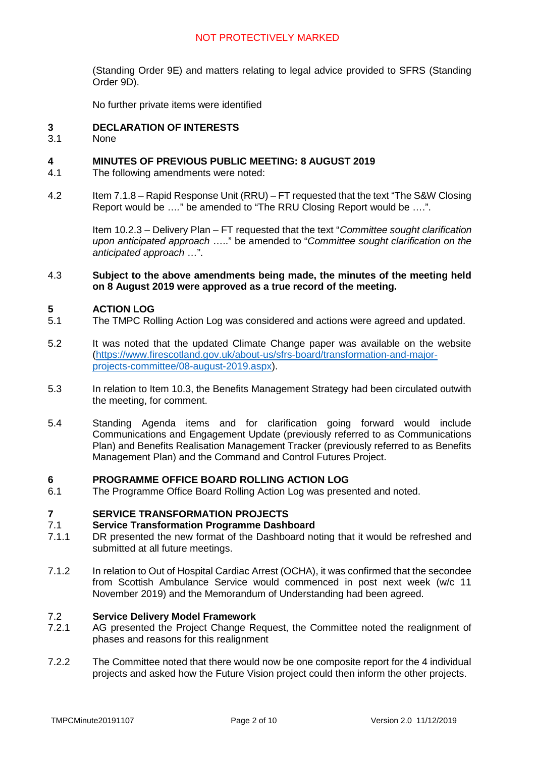# NOT PROTECTIVELY MARKED

(Standing Order 9E) and matters relating to legal advice provided to SFRS (Standing Order 9D).

No further private items were identified

#### **3 DECLARATION OF INTERESTS**

3.1 **None** 

#### **4 MINUTES OF PREVIOUS PUBLIC MEETING: 8 AUGUST 2019**

- 4.1 The following amendments were noted:
- 4.2 Item 7.1.8 – Rapid Response Unit (RRU) – FT requested that the text "The S&W Closing Report would be …*.*" be amended to "The RRU Closing Report would be ….".

Item 10.2.3 – Delivery Plan – FT requested that the text "*Committee sought clarification upon anticipated approach* ….." be amended to "*Committee sought clarification on the anticipated approach* …".

### 4.3 **Subject to the above amendments being made, the minutes of the meeting held on 8 August 2019 were approved as a true record of the meeting.**

#### **5 ACTION LOG**

- 5.1 The TMPC Rolling Action Log was considered and actions were agreed and updated.
- 5.2 It was noted that the updated Climate Change paper was available on the website (https://www.firescotland.gov.uk/about-us/sfrs-board/transformation-and-majorprojects-committee/08-august-2019.aspx).
- 5.3 In relation to Item 10.3, the Benefits Management Strategy had been circulated outwith the meeting, for comment.
- 5.4 Standing Agenda items and for clarification going forward would include Communications and Engagement Update (previously referred to as Communications Plan) and Benefits Realisation Management Tracker (previously referred to as Benefits Management Plan) and the Command and Control Futures Project.

#### **6 PROGRAMME OFFICE BOARD ROLLING ACTION LOG**

6.1 The Programme Office Board Rolling Action Log was presented and noted.

#### **7 SERVICE TRANSFORMATION PROJECTS**

#### 7.1 **Service Transformation Programme Dashboard**

- 7.1.1 DR presented the new format of the Dashboard noting that it would be refreshed and submitted at all future meetings.
- 7.1.2 In relation to Out of Hospital Cardiac Arrest (OCHA), it was confirmed that the secondee from Scottish Ambulance Service would commenced in post next week (w/c 11 November 2019) and the Memorandum of Understanding had been agreed.

#### 7.2 **Service Delivery Model Framework**

- 7.2.1 AG presented the Project Change Request, the Committee noted the realignment of phases and reasons for this realignment
- 7.2.2 The Committee noted that there would now be one composite report for the 4 individual projects and asked how the Future Vision project could then inform the other projects.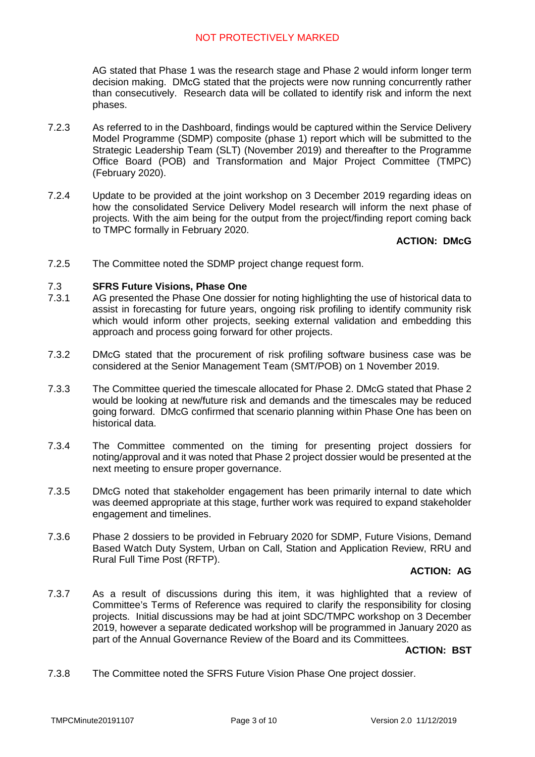AG stated that Phase 1 was the research stage and Phase 2 would inform longer term decision making. DMcG stated that the projects were now running concurrently rather than consecutively. Research data will be collated to identify risk and inform the next phases.

- 7.2.3 As referred to in the Dashboard, findings would be captured within the Service Delivery Model Programme (SDMP) composite (phase 1) report which will be submitted to the Strategic Leadership Team (SLT) (November 2019) and thereafter to the Programme Office Board (POB) and Transformation and Major Project Committee (TMPC) (February 2020).
- 7.2.4 Update to be provided at the joint workshop on 3 December 2019 regarding ideas on how the consolidated Service Delivery Model research will inform the next phase of projects. With the aim being for the output from the project/finding report coming back to TMPC formally in February 2020.

# **ACTION: DMcG**

7.2.5 The Committee noted the SDMP project change request form.

#### 7.3 **SFRS Future Visions, Phase One**

- 7.3.1 AG presented the Phase One dossier for noting highlighting the use of historical data to assist in forecasting for future years, ongoing risk profiling to identify community risk which would inform other projects, seeking external validation and embedding this approach and process going forward for other projects.
- 7.3.2 DMcG stated that the procurement of risk profiling software business case was be considered at the Senior Management Team (SMT/POB) on 1 November 2019.
- 7.3.3 The Committee queried the timescale allocated for Phase 2. DMcG stated that Phase 2 would be looking at new/future risk and demands and the timescales may be reduced going forward. DMcG confirmed that scenario planning within Phase One has been on historical data.
- 7.3.4 The Committee commented on the timing for presenting project dossiers for noting/approval and it was noted that Phase 2 project dossier would be presented at the next meeting to ensure proper governance.
- 7.3.5 DMcG noted that stakeholder engagement has been primarily internal to date which was deemed appropriate at this stage, further work was required to expand stakeholder engagement and timelines.
- 7.3.6 Phase 2 dossiers to be provided in February 2020 for SDMP, Future Visions, Demand Based Watch Duty System, Urban on Call, Station and Application Review, RRU and Rural Full Time Post (RFTP).

# **ACTION: AG**

7.3.7 As a result of discussions during this item, it was highlighted that a review of Committee's Terms of Reference was required to clarify the responsibility for closing projects. Initial discussions may be had at joint SDC/TMPC workshop on 3 December 2019, however a separate dedicated workshop will be programmed in January 2020 as part of the Annual Governance Review of the Board and its Committees.

## **ACTION: BST**

7.3.8 The Committee noted the SFRS Future Vision Phase One project dossier.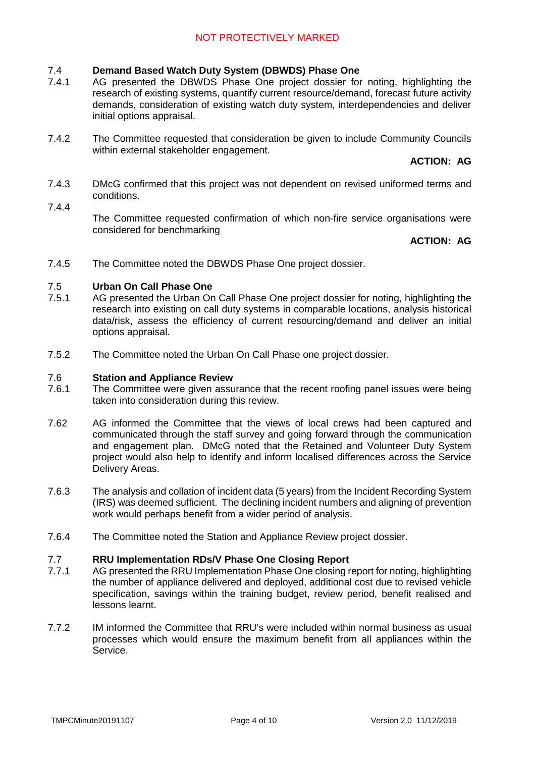#### 7.4 **Demand Based Watch Duty System (DBWDS) Phase One**

- 7.4.1 AG presented the DBWDS Phase One project dossier for noting, highlighting the research of existing systems, quantify current resource/demand, forecast future activity demands, consideration of existing watch duty system, interdependencies and deliver initial options appraisal.
- 7.4.2 The Committee requested that consideration be given to include Community Councils within external stakeholder engagement.

# **ACTION: AG**

- 7.4.3 DMcG confirmed that this project was not dependent on revised uniformed terms and conditions.
- 7.4.4

The Committee requested confirmation of which non-fire service organisations were considered for benchmarking

## **ACTION: AG**

7.4.5 The Committee noted the DBWDS Phase One project dossier.

#### 7.5 **Urban On Call Phase One**

- 7.5.1 AG presented the Urban On Call Phase One project dossier for noting, highlighting the research into existing on call duty systems in comparable locations, analysis historical data/risk, assess the efficiency of current resourcing/demand and deliver an initial options appraisal.
- 7.5.2 The Committee noted the Urban On Call Phase one project dossier.

#### 7.6 **Station and Appliance Review**

- 7.6.1 The Committee were given assurance that the recent roofing panel issues were being taken into consideration during this review.
- 7.62 AG informed the Committee that the views of local crews had been captured and communicated through the staff survey and going forward through the communication and engagement plan. DMcG noted that the Retained and Volunteer Duty System project would also help to identify and inform localised differences across the Service Delivery Areas.
- 7.6.3 The analysis and collation of incident data (5 years) from the Incident Recording System (IRS) was deemed sufficient. The declining incident numbers and aligning of prevention work would perhaps benefit from a wider period of analysis.
- 7.6.4 The Committee noted the Station and Appliance Review project dossier.

#### 7.7 **RRU Implementation RDs/V Phase One Closing Report**

- 7.7.1 AG presented the RRU Implementation Phase One closing report for noting, highlighting the number of appliance delivered and deployed, additional cost due to revised vehicle specification, savings within the training budget, review period, benefit realised and lessons learnt.
- 7.7.2 IM informed the Committee that RRU's were included within normal business as usual processes which would ensure the maximum benefit from all appliances within the Service.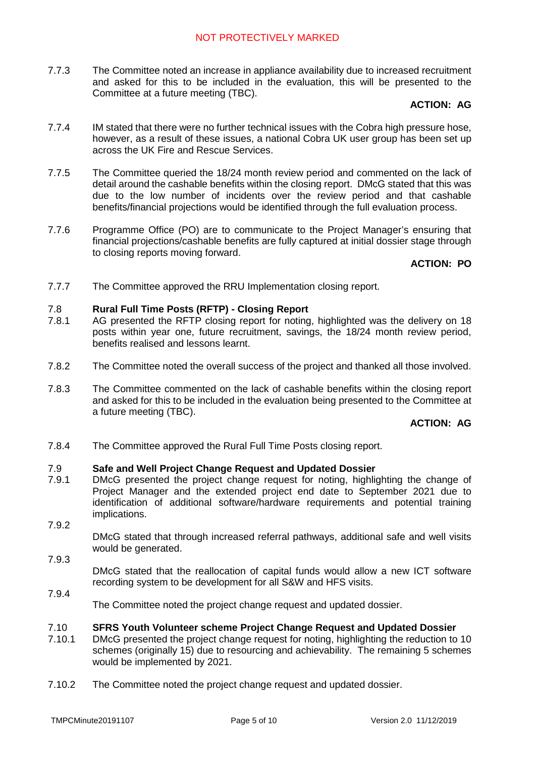7.7.3 The Committee noted an increase in appliance availability due to increased recruitment and asked for this to be included in the evaluation, this will be presented to the Committee at a future meeting (TBC).

# **ACTION: AG**

- 7.7.4 IM stated that there were no further technical issues with the Cobra high pressure hose, however, as a result of these issues, a national Cobra UK user group has been set up across the UK Fire and Rescue Services.
- 7.7.5 The Committee queried the 18/24 month review period and commented on the lack of detail around the cashable benefits within the closing report. DMcG stated that this was due to the low number of incidents over the review period and that cashable benefits/financial projections would be identified through the full evaluation process.
- 7.7.6 Programme Office (PO) are to communicate to the Project Manager's ensuring that financial projections/cashable benefits are fully captured at initial dossier stage through to closing reports moving forward.

# **ACTION: PO**

7.7.7 The Committee approved the RRU Implementation closing report.

#### 7.8 **Rural Full Time Posts (RFTP) - Closing Report**

- 7.8.1 AG presented the RFTP closing report for noting, highlighted was the delivery on 18 posts within year one, future recruitment, savings, the 18/24 month review period, benefits realised and lessons learnt.
- 7.8.2 The Committee noted the overall success of the project and thanked all those involved.
- 7.8.3 The Committee commented on the lack of cashable benefits within the closing report and asked for this to be included in the evaluation being presented to the Committee at a future meeting (TBC).

# **ACTION: AG**

7.8.4 The Committee approved the Rural Full Time Posts closing report.

#### 7.9 **Safe and Well Project Change Request and Updated Dossier**

- 7.9.1 DMcG presented the project change request for noting, highlighting the change of Project Manager and the extended project end date to September 2021 due to identification of additional software/hardware requirements and potential training implications.
	- DMcG stated that through increased referral pathways, additional safe and well visits would be generated.
		- DMcG stated that the reallocation of capital funds would allow a new ICT software recording system to be development for all S&W and HFS visits.
- 7.9.4 The Committee noted the project change request and updated dossier.

#### 7.10 **SFRS Youth Volunteer scheme Project Change Request and Updated Dossier**

- 7.10.1 DMcG presented the project change request for noting, highlighting the reduction to 10 schemes (originally 15) due to resourcing and achievability. The remaining 5 schemes would be implemented by 2021.
- 7.10.2 The Committee noted the project change request and updated dossier.

7.9.2

7.9.3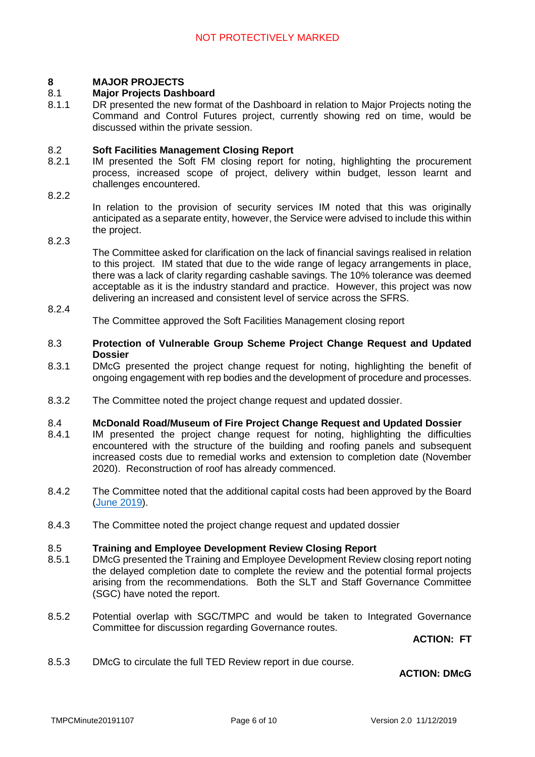#### **8 MAJOR PROJECTS**

#### 8.1 **Major Projects Dashboard**

8.1.1 DR presented the new format of the Dashboard in relation to Major Projects noting the Command and Control Futures project, currently showing red on time, would be discussed within the private session.

#### 8.2 **Soft Facilities Management Closing Report**

- 8.2.1 IM presented the Soft FM closing report for noting, highlighting the procurement process, increased scope of project, delivery within budget, lesson learnt and challenges encountered.
- 822

In relation to the provision of security services IM noted that this was originally anticipated as a separate entity, however, the Service were advised to include this within the project.

8.2.3

The Committee asked for clarification on the lack of financial savings realised in relation to this project. IM stated that due to the wide range of legacy arrangements in place, there was a lack of clarity regarding cashable savings. The 10% tolerance was deemed acceptable as it is the industry standard and practice. However, this project was now delivering an increased and consistent level of service across the SFRS.

### 8.2.4 The Committee approved the Soft Facilities Management closing report

- 8.3 **Protection of Vulnerable Group Scheme Project Change Request and Updated Dossier**
- 8.3.1 DMcG presented the project change request for noting, highlighting the benefit of ongoing engagement with rep bodies and the development of procedure and processes.
- 8.3.2 The Committee noted the project change request and updated dossier.

#### 8.4 **McDonald Road/Museum of Fire Project Change Request and Updated Dossier**

- 8.4.1 IM presented the project change request for noting, highlighting the difficulties encountered with the structure of the building and roofing panels and subsequent increased costs due to remedial works and extension to completion date (November 2020). Reconstruction of roof has already commenced.
- 8.4.2 The Committee noted that the additional capital costs had been approved by the Board (June 2019).
- 8.4.3 The Committee noted the project change request and updated dossier

#### 8.5 **Training and Employee Development Review Closing Report**

- 8.5.1 DMcG presented the Training and Employee Development Review closing report noting the delayed completion date to complete the review and the potential formal projects arising from the recommendations. Both the SLT and Staff Governance Committee (SGC) have noted the report.
- 8.5.2 Potential overlap with SGC/TMPC and would be taken to Integrated Governance Committee for discussion regarding Governance routes.

**ACTION: FT**

8.5.3 DMcG to circulate the full TED Review report in due course.

### **ACTION: DMcG**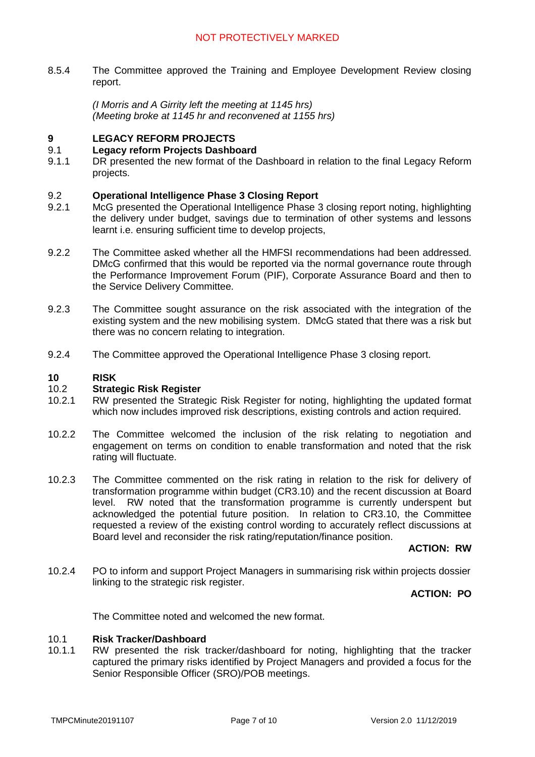8.5.4 The Committee approved the Training and Employee Development Review closing report.

> *(I Morris and A Girrity left the meeting at 1145 hrs) (Meeting broke at 1145 hr and reconvened at 1155 hrs)*

#### **9 LEGACY REFORM PROJECTS**

#### 9.1 **Legacy reform Projects Dashboard**

9.1.1 DR presented the new format of the Dashboard in relation to the final Legacy Reform projects.

#### 9.2 **Operational Intelligence Phase 3 Closing Report**

- 9.2.1 McG presented the Operational Intelligence Phase 3 closing report noting, highlighting the delivery under budget, savings due to termination of other systems and lessons learnt i.e. ensuring sufficient time to develop projects,
- 9.2.2 The Committee asked whether all the HMFSI recommendations had been addressed. DMcG confirmed that this would be reported via the normal governance route through the Performance Improvement Forum (PIF), Corporate Assurance Board and then to the Service Delivery Committee.
- 9.2.3 The Committee sought assurance on the risk associated with the integration of the existing system and the new mobilising system. DMcG stated that there was a risk but there was no concern relating to integration.
- 9.2.4 The Committee approved the Operational Intelligence Phase 3 closing report.

#### **10 RISK**

#### 10.2 **Strategic Risk Register**

- 10.2.1 RW presented the Strategic Risk Register for noting, highlighting the updated format which now includes improved risk descriptions, existing controls and action required.
- 10.2.2 The Committee welcomed the inclusion of the risk relating to negotiation and engagement on terms on condition to enable transformation and noted that the risk rating will fluctuate.
- 10.2.3 The Committee commented on the risk rating in relation to the risk for delivery of transformation programme within budget (CR3.10) and the recent discussion at Board level. RW noted that the transformation programme is currently underspent but acknowledged the potential future position. In relation to CR3.10, the Committee requested a review of the existing control wording to accurately reflect discussions at Board level and reconsider the risk rating/reputation/finance position.

**ACTION: RW**

10.2.4 PO to inform and support Project Managers in summarising risk within projects dossier linking to the strategic risk register.

**ACTION: PO**

The Committee noted and welcomed the new format.

#### 10.1 **Risk Tracker/Dashboard**

10.1.1 RW presented the risk tracker/dashboard for noting, highlighting that the tracker captured the primary risks identified by Project Managers and provided a focus for the Senior Responsible Officer (SRO)/POB meetings.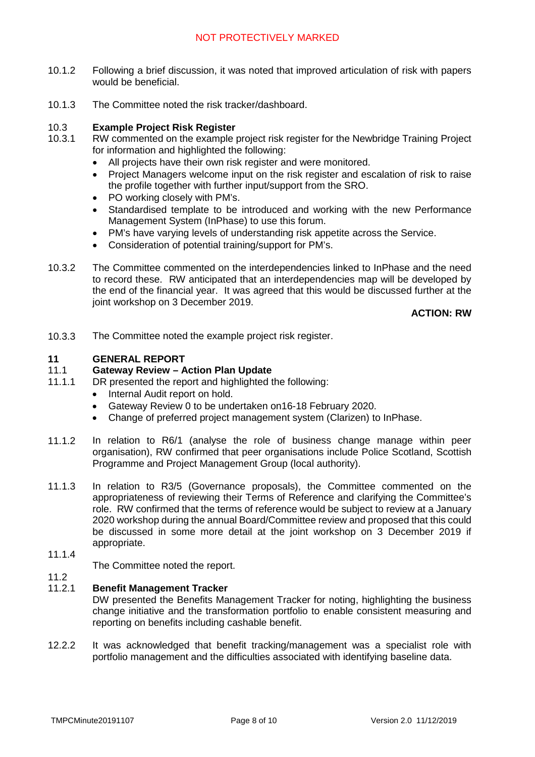# NOT PROTECTIVELY MARKED

- 10.1.2 Following a brief discussion, it was noted that improved articulation of risk with papers would be beneficial.
- 10.1.3 The Committee noted the risk tracker/dashboard.

#### 10.3 **Example Project Risk Register**

- 10.3.1 RW commented on the example project risk register for the Newbridge Training Project for information and highlighted the following:
	- All projects have their own risk register and were monitored.
	- Project Managers welcome input on the risk register and escalation of risk to raise the profile together with further input/support from the SRO.
	- PO working closely with PM's.
	- Standardised template to be introduced and working with the new Performance Management System (InPhase) to use this forum.
	- PM's have varying levels of understanding risk appetite across the Service.
	- Consideration of potential training/support for PM's.
- 10.3.2 The Committee commented on the interdependencies linked to InPhase and the need to record these. RW anticipated that an interdependencies map will be developed by the end of the financial year. It was agreed that this would be discussed further at the joint workshop on 3 December 2019.

**ACTION: RW**

10.3.3 The Committee noted the example project risk register.

#### **11 GENERAL REPORT**

#### 11.1 **Gateway Review – Action Plan Update**

- 11.1.1 DR presented the report and highlighted the following:
	- Internal Audit report on hold.
	- Gateway Review 0 to be undertaken on16-18 February 2020.
	- Change of preferred project management system (Clarizen) to InPhase.
- 11.1.2 In relation to R6/1 (analyse the role of business change manage within peer organisation), RW confirmed that peer organisations include Police Scotland, Scottish Programme and Project Management Group (local authority).
- 11.1.3 In relation to R3/5 (Governance proposals), the Committee commented on the appropriateness of reviewing their Terms of Reference and clarifying the Committee's role. RW confirmed that the terms of reference would be subject to review at a January 2020 workshop during the annual Board/Committee review and proposed that this could be discussed in some more detail at the joint workshop on 3 December 2019 if appropriate.
- 11.1.4

11.2

The Committee noted the report.

#### 11.2.1 **Benefit Management Tracker**

DW presented the Benefits Management Tracker for noting, highlighting the business change initiative and the transformation portfolio to enable consistent measuring and reporting on benefits including cashable benefit.

12.2.2 It was acknowledged that benefit tracking/management was a specialist role with portfolio management and the difficulties associated with identifying baseline data.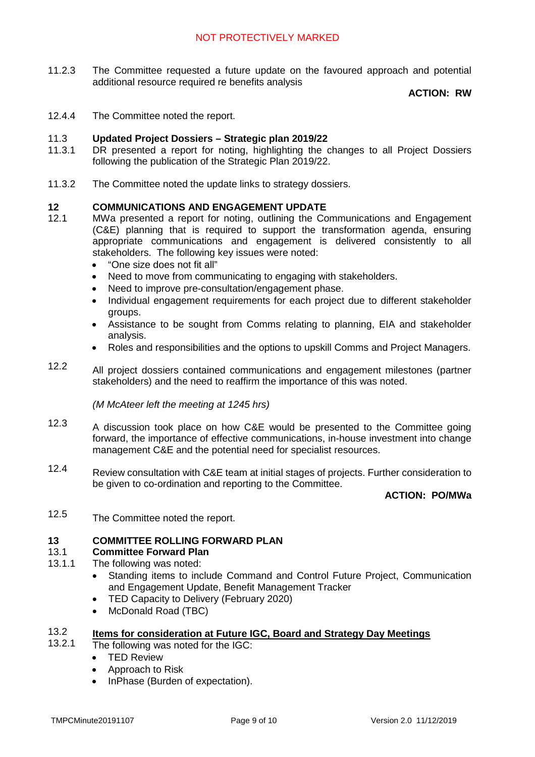11.2.3 The Committee requested a future update on the favoured approach and potential additional resource required re benefits analysis

# **ACTION: RW**

12.4.4 The Committee noted the report.

#### 11.3 **Updated Project Dossiers – Strategic plan 2019/22**

- 11.3.1 DR presented a report for noting, highlighting the changes to all Project Dossiers following the publication of the Strategic Plan 2019/22.
- 11.3.2 The Committee noted the update links to strategy dossiers.

#### **12 COMMUNICATIONS AND ENGAGEMENT UPDATE**

- 12.1 MWa presented a report for noting, outlining the Communications and Engagement (C&E) planning that is required to support the transformation agenda, ensuring appropriate communications and engagement is delivered consistently to all stakeholders. The following key issues were noted:
	- "One size does not fit all"
	- Need to move from communicating to engaging with stakeholders.
	- Need to improve pre-consultation/engagement phase.
	- Individual engagement requirements for each project due to different stakeholder groups.
	- Assistance to be sought from Comms relating to planning, EIA and stakeholder analysis.
	- Roles and responsibilities and the options to upskill Comms and Project Managers.
- 12.2 All project dossiers contained communications and engagement milestones (partner stakeholders) and the need to reaffirm the importance of this was noted.

*(M McAteer left the meeting at 1245 hrs)*

- 12.3 A discussion took place on how C&E would be presented to the Committee going forward, the importance of effective communications, in-house investment into change management C&E and the potential need for specialist resources.
- 12.4 Review consultation with C&E team at initial stages of projects. Further consideration to be given to co-ordination and reporting to the Committee.

### **ACTION: PO/MWa**

12.5 The Committee noted the report.

### **13 COMMITTEE ROLLING FORWARD PLAN**

#### 13.1 **Committee Forward Plan**

- 13.1.1 The following was noted:
	- Standing items to include Command and Control Future Project, Communication and Engagement Update, Benefit Management Tracker
	- TED Capacity to Delivery (February 2020)
	- McDonald Road (TBC)

### 13.2 13.2.1 **Items for consideration at Future IGC, Board and Strategy Day Meetings**

- The following was noted for the IGC:
	- TED Review
	- Approach to Risk
	- InPhase (Burden of expectation).